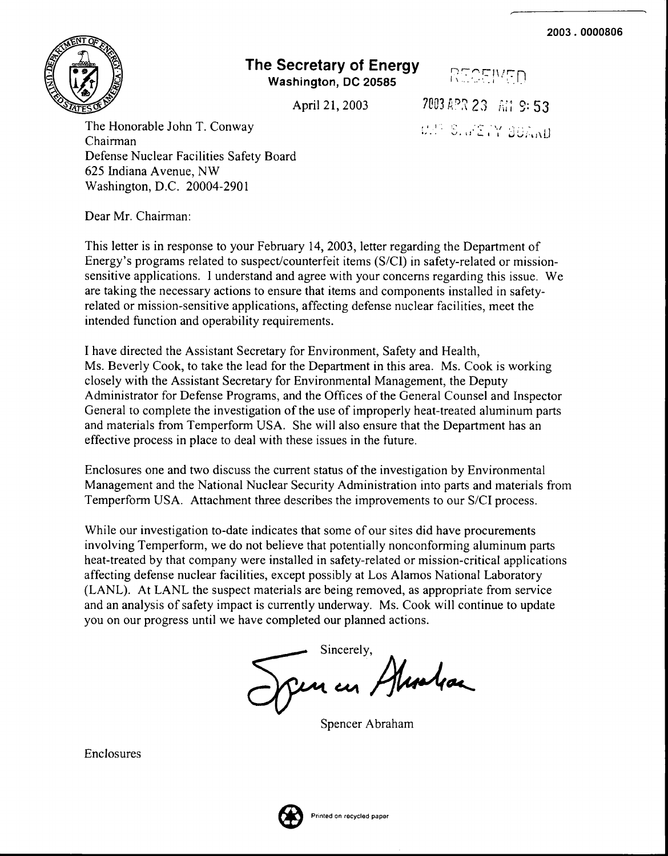

## **The Secretary of Energy Washington, DC 20585**

RECEIVED 2003 APR 23 AM 9: 53

 $\mathbb{S}$ ,  $\mathbb{P} \subseteq \mathbb{P}^\times$  bormu

April 21, 2003

The Honorable John T. Conway Chairman Defense Nuclear Facilities Safety Board 625 Indiana Avenue, NW Washington, D.C. 20004-2901

Dear Mr. Chairman:

This letter is in response to your February 14,2003, letter regarding the Department of Energy's programs related to suspect/counterfeit items  $(S/CI)$  in safety-related or missionsensitive applications. I understand and agree with your concerns regarding this issue. We are taking the necessary actions to ensure that items and components installed in safetyrelated or mission-sensitive applications, affecting defense nuclear facilities, meet the intended function and operability requirements.

I have directed the Assistant Secretary for Environment, Safety and Health, Ms. Beverly Cook, to take the lead for the Department in this area. Ms. Cook is working closely with the Assistant Secretary for Environmental Management, the Deputy Administrator for Defense Programs, and the Offices ofthe General Counsel and Inspector General to complete the investigation of the use of improperly heat-treated aluminum parts and materials from Temperfonn USA. She will also ensure that the Department has an effective process in place to deal with these issues in the future.

Enclosures one and two discuss the current status of the investigation by Environmental Management and the National Nuclear Security Administration into parts and materials from Temperfonn USA. Attachment three describes the improvements to our S/CI process.

While our investigation to-date indicates that some of our sites did have procurements involving Temperform, we do not believe that potentially nonconforming aluminum parts heat-treated by that company were installed in safety-related or mission-critical applications affecting defense nuclear facilities, except possibly at Los Alamos National Laboratory (LANL). At LANL the suspect materials are being removed, as appropriate from service and an analysis of safety impact is currently underway. Ms. Cook will continue to update you on our progress until we have completed our planned actions.

Sincerely, Alcolas Sincerely,

Spencer Abraham

Enclosures

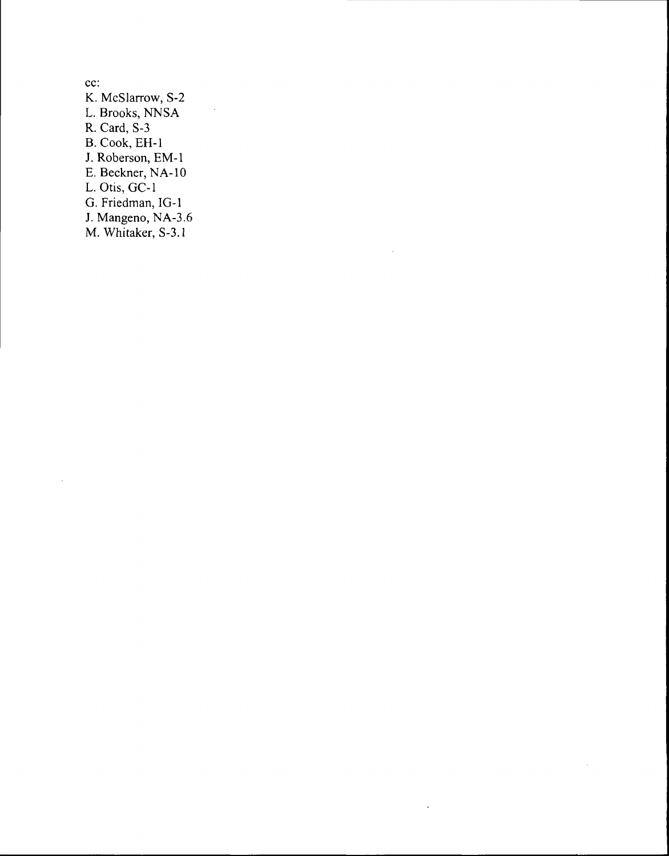cc: K. McSlarrow, S-2 L. Brooks, NNSA R. Card, S-3 B. Cook, EH-l J. Roberson, EM-l E. Beckner, NA-I0 L. Otis, GC-l G. Friedman, IG-l 1. Mangeno, NA-3.6 M. Whitaker, S-3.1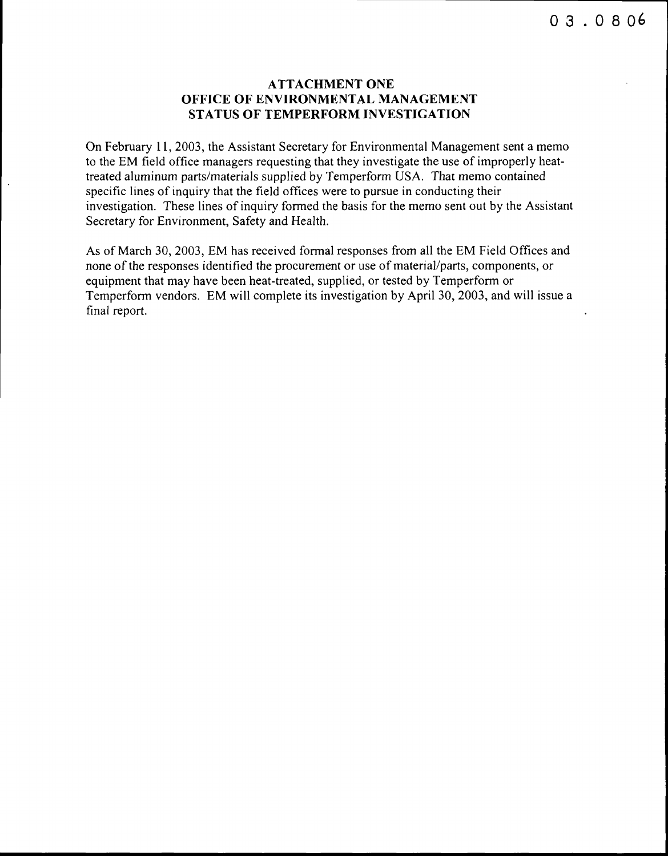## **ATTACHMENT ONE OFFICE OF ENVIRONMENTAL MANAGEMENT STATUS OF TEMPERFORM INVESTIGATION**

On February **11,** 2003, the Assistant Secretary for Environmental Management sent a memo to the EM field office managers requesting that they investigate the use of improperly heattreated aluminum parts/materials supplied by Temperform USA. That memo contained specific lines of inquiry that the field offices were to pursue in conducting their investigation. These lines of inquiry formed the basis for the memo sent out by the Assistant Secretary for Environment, Safety and Health.

As of March 30, 2003, EM has received formal responses from all the EM Field Offices and none of the responses identified the procurement or use of material/parts, components, or equipment that may have been heat-treated, supplied, or tested by Temperform or Temperform vendors. EM will complete its investigation by April 30, 2003, and will issue a final report.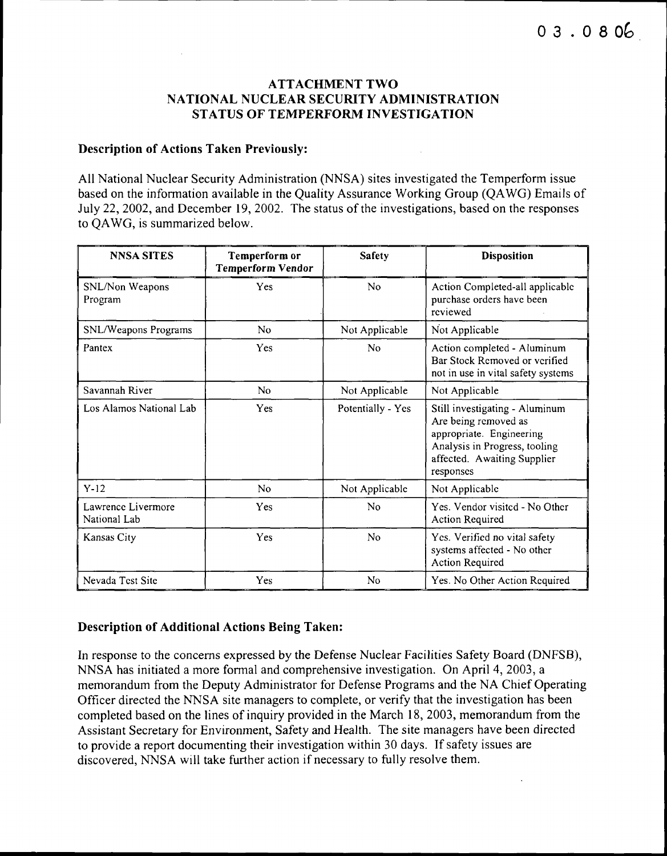## ATTACHMENT TWO NATIONAL NUCLEAR SECURITY ADMINISTRATION STATUS OF TEMPERFORM INVESTIGATION

### Description of Actions Taken Previously:

All National Nuclear Security Administration (NNSA) sites investigated the Temperform issue based on the information available in the Quality Assurance Working Group (QAWG) Emails of July 22, 2002, and December 19, 2002. The status of the investigations, based on the responses to QAWG, is summarized below.

| <b>NNSA SITES</b>                  | Temperform or<br><b>Temperform Vendor</b> | <b>Safety</b>     | <b>Disposition</b>                                                                                                                                              |
|------------------------------------|-------------------------------------------|-------------------|-----------------------------------------------------------------------------------------------------------------------------------------------------------------|
| SNL/Non Weapons<br>Program         | Yes                                       | No                | Action Completed-all applicable<br>purchase orders have been<br>reviewed                                                                                        |
| SNL/Weapons Programs               | No                                        | Not Applicable    | Not Applicable                                                                                                                                                  |
| Pantex                             | Yes                                       | No                | Action completed - Aluminum<br>Bar Stock Removed or verified<br>not in use in vital safety systems                                                              |
| Savannah River                     | N <sub>o</sub>                            | Not Applicable    | Not Applicable                                                                                                                                                  |
| Los Alamos National Lab            | Yes                                       | Potentially - Yes | Still investigating - Aluminum<br>Are being removed as<br>appropriate. Engineering<br>Analysis in Progress, tooling<br>affected. Awaiting Supplier<br>responses |
| $Y-12$                             | No                                        | Not Applicable    | Not Applicable                                                                                                                                                  |
| Lawrence Livermore<br>National Lab | Yes                                       | No                | Yes. Vendor visited - No Other<br><b>Action Required</b>                                                                                                        |
| Kansas City                        | Yes                                       | No                | Yes. Verified no vital safety<br>systems affected - No other<br><b>Action Required</b>                                                                          |
| Nevada Test Site                   | Yes                                       | N <sub>0</sub>    | Yes. No Other Action Required                                                                                                                                   |

## Description of Additional Actions Being Taken:

In response to the concerns expressed by the Defense Nuclear Facilities Safety Board (DNFSB), NNSA has initiated a more formal and comprehensive investigation. On April 4, 2003, a memorandum from the Deputy Administrator for Defense Programs and the NA Chief Operating Officer directed the NNSA site managers to complete, or verify that the investigation has been completed based on the lines of inquiry provided in the March 18, 2003, memorandum from the Assistant Secretary for Environment, Safety and Health. The site managers have been directed to provide a report documenting their investigation within 30 days. If safety issues are discovered, NNSA will take further action if necessary to fully resolve them.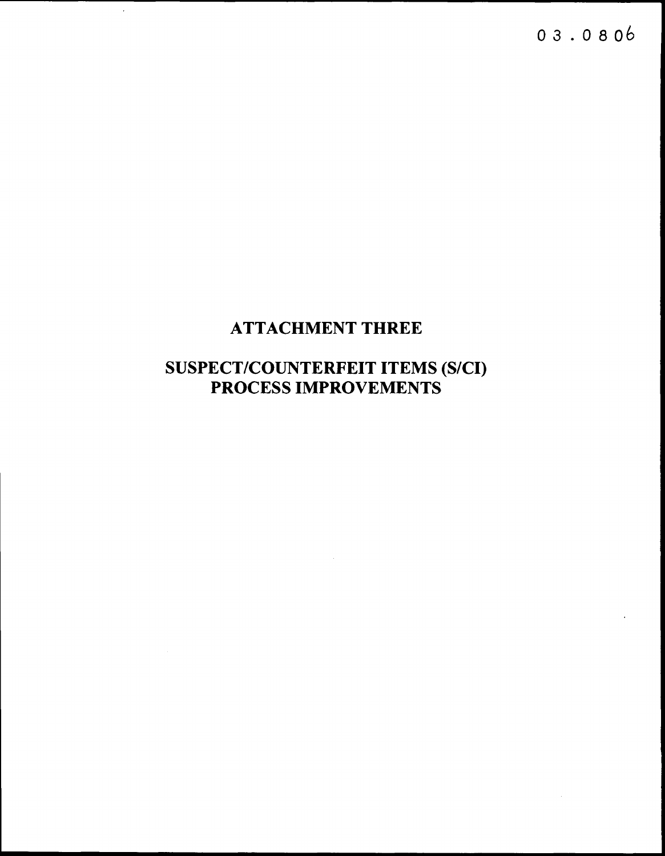$03.0806$ 

## **ATTACHMENT THREE**

 $\bar{z}$ 

# **SUSPECT/COUNTERFEIT ITEMS (S/CI)<br>PROCESS IMPROVEMENTS**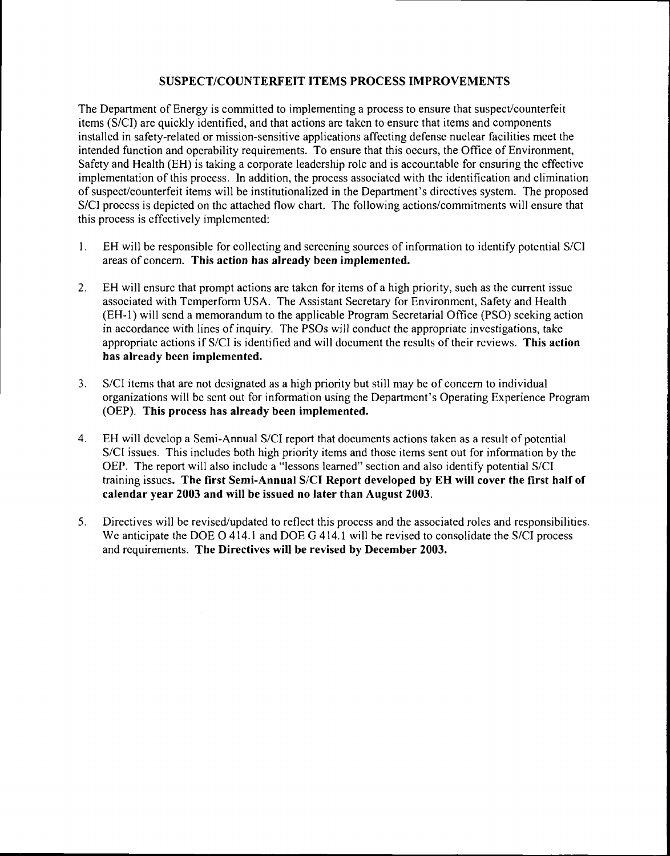#### SUSPECT/COUNTERFEIT ITEMS PROCESS IMPROVEMENTS

The Department of Energy is committed to implementing a process to ensure that suspect/counterfeit items (S/CI) are quickly identified, and that actions are takcn to ensurc that items and components installcd in safety-related or mission-sensitive applications affecting defensc nuclear facilities mcet the intended function and opcrability requirements. To ensure that this occurs, the Office of Environment, Safety and Health (EH) is taking a corporate leadcrship rolc and is accountable for cnsuring thc cffectivc implementation of this process. In addition, the process associatcd with thc identification and elimination of suspect/counterfeit items will be institutionalized in the Department's directives system. The proposed S/CI process is depicted on thc attached flow chart. The following actions/commitments will ensure that this process is cffcctively implcmented:

- 1. EH will be responsible for collecting and screening sources of information to identify potential S/CI areas of concern. This action has already been implemented.
- 2. EH will ensurc that prompt actions are takcn for items of a high priority, such as thc current issuc associated with Temperform USA. The Assistant Secretary for Environment, Safety and Health (EH-l) will send a memorandum to the applicable Program Secretarial Office (PSO) sceking action in accordance with lines of inquiry. The PSOs will conduct the appropriate investigations, take appropriate actions if S/CI is identified and will document the results of their reviews. This action has already been implemented.
- 3. SIC] items that are not dcsignated as a high priority but still may be of concern to individual organizations will bc scnt out for information using the Departmcnt's Operating Experience Program (OEP). This process has already been implemented.
- 4. EH will develop a Semi-Annual S/CI report that documents actions taken as a result of potential S/CI issues. This includes both high priority items and those items sent out for information by the OEP. The report will also include a "lessons learned" section and also identify potential S/CI training issucs. The first Semi-Annual S/CI Report developed by EH will cover the first half of calendar year 2003 and will be issued no later than August 2003.
- 5. Directives will be revised/updated to reflect this process and the associated roles and responsibilities. We anticipate the DOE O 414.1 and DOE G 414.1 will be revised to consolidate the S/CI process and requirements. The Directives will be revised by December 2003.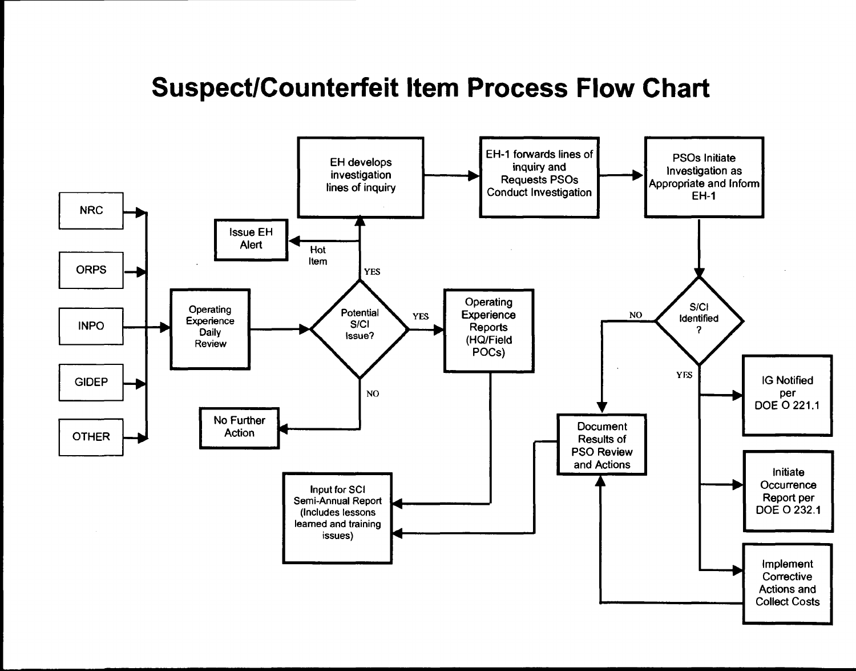## **Suspect/Counterfeit Item Process Flow Chart**